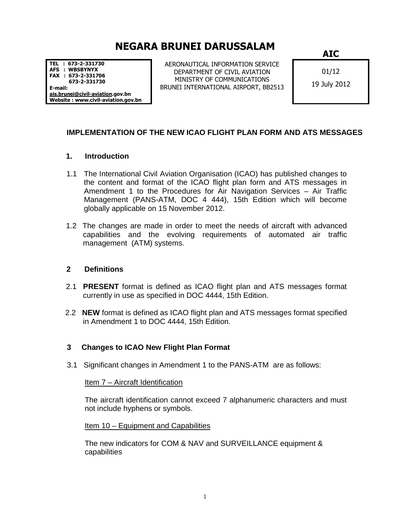# NEGARA BRUNEI DARUSSALAM

TEL : 673-2-331730 AFS : WBSBYNYX FAX : 673-2-331706 673-2-331730 E-mail: ais.brunei@civil-aviation.gov.bn Website : www.civil-aviation.gov.bn

AERONAUTICAL INFORMATION SERVICE DEPARTMENT OF CIVIL AVIATION MINISTRY OF COMMUNICATIONS BRUNEI INTERNATIONAL AIRPORT, BB2513 AIC

01/12 19 July 2012

## **IMPLEMENTATION OF THE NEW ICAO FLIGHT PLAN FORM AND ATS MESSAGES**

### **1. Introduction**

- 1.1 The International Civil Aviation Organisation (ICAO) has published changes to the content and format of the ICAO flight plan form and ATS messages in Amendment 1 to the Procedures for Air Navigation Services – Air Traffic Management (PANS-ATM, DOC 4 444), 15th Edition which will become globally applicable on 15 November 2012.
- 1.2 The changes are made in order to meet the needs of aircraft with advanced capabilities and the evolving requirements of automated air traffic management (ATM) systems.

### **2 Definitions**

- 2.1 **PRESENT** format is defined as ICAO flight plan and ATS messages format currently in use as specified in DOC 4444, 15th Edition.
- 2.2 **NEW** format is defined as ICAO flight plan and ATS messages format specified in Amendment 1 to DOC 4444, 15th Edition.

### **3 Changes to ICAO New Flight Plan Format**

3.1 Significant changes in Amendment 1 to the PANS-ATM are as follows:

### Item 7 – Aircraft Identification

The aircraft identification cannot exceed 7 alphanumeric characters and must not include hyphens or symbols.

Item 10 – Equipment and Capabilities

The new indicators for COM & NAV and SURVEILLANCE equipment & capabilities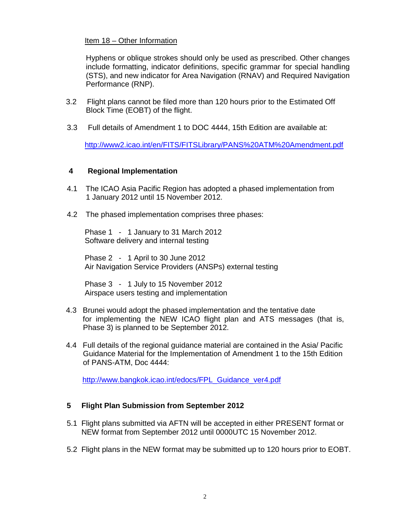### Item 18 – Other Information

Hyphens or oblique strokes should only be used as prescribed. Other changes include formatting, indicator definitions, specific grammar for special handling (STS), and new indicator for Area Navigation (RNAV) and Required Navigation Performance (RNP).

- 3.2 Flight plans cannot be filed more than 120 hours prior to the Estimated Off Block Time (EOBT) of the flight.
- 3.3 Full details of Amendment 1 to DOC 4444, 15th Edition are available at:

http://www2.icao.int/en/FITS/FITSLibrary/PANS%20ATM%20Amendment.pdf

#### **4 Regional Implementation**

- 4.1 The ICAO Asia Pacific Region has adopted a phased implementation from 1 January 2012 until 15 November 2012.
- 4.2 The phased implementation comprises three phases:

Phase 1 - 1 January to 31 March 2012 Software delivery and internal testing

Phase 2 - 1 April to 30 June 2012 Air Navigation Service Providers (ANSPs) external testing

Phase 3 - 1 July to 15 November 2012 Airspace users testing and implementation

- 4.3 Brunei would adopt the phased implementation and the tentative date for implementing the NEW ICAO flight plan and ATS messages (that is, Phase 3) is planned to be September 2012.
- 4.4 Full details of the regional guidance material are contained in the Asia/ Pacific Guidance Material for the Implementation of Amendment 1 to the 15th Edition of PANS-ATM, Doc 4444:

http://www.bangkok.icao.int/edocs/FPL\_Guidance\_ver4.pdf

### **5 Flight Plan Submission from September 2012**

- 5.1 Flight plans submitted via AFTN will be accepted in either PRESENT format or NEW format from September 2012 until 0000UTC 15 November 2012.
- 5.2 Flight plans in the NEW format may be submitted up to 120 hours prior to EOBT.